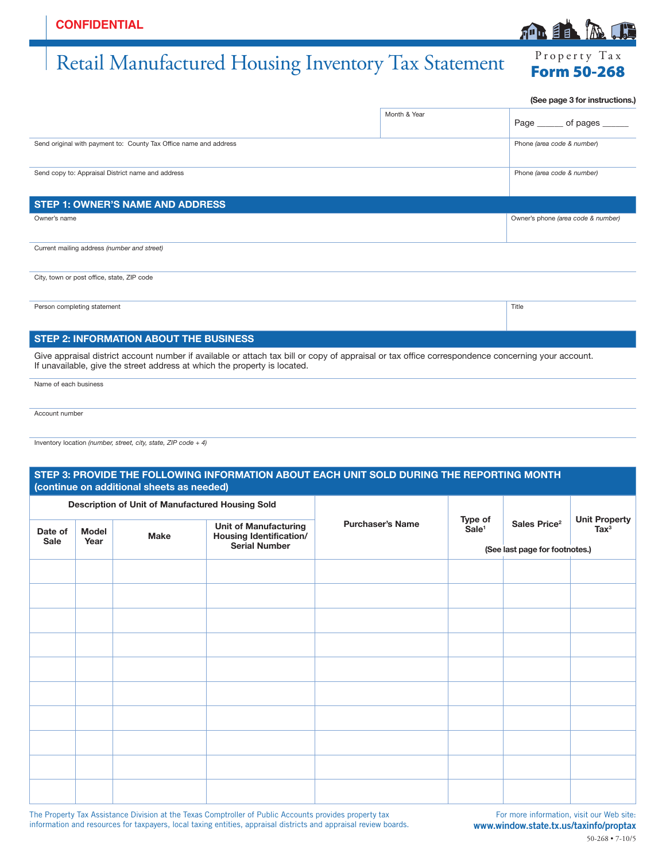## Retail Manufactured Housing Inventory Tax Statement Form 50-268

|                                                                                                                                                                                                                                | (See page 3 for instructions.) |                                    |
|--------------------------------------------------------------------------------------------------------------------------------------------------------------------------------------------------------------------------------|--------------------------------|------------------------------------|
|                                                                                                                                                                                                                                | Month & Year                   | Page of pages                      |
| Send original with payment to: County Tax Office name and address                                                                                                                                                              |                                | Phone (area code & number)         |
| Send copy to: Appraisal District name and address                                                                                                                                                                              |                                | Phone (area code & number)         |
| <b>STEP 1: OWNER'S NAME AND ADDRESS</b>                                                                                                                                                                                        |                                |                                    |
| Owner's name                                                                                                                                                                                                                   |                                | Owner's phone (area code & number) |
| Current mailing address (number and street)                                                                                                                                                                                    |                                |                                    |
| City, town or post office, state, ZIP code                                                                                                                                                                                     |                                |                                    |
| Person completing statement                                                                                                                                                                                                    |                                | Title                              |
| <b>STEP 2: INFORMATION ABOUT THE BUSINESS</b>                                                                                                                                                                                  |                                |                                    |
| Give appraisal district account number if available or attach tax bill or copy of appraisal or tax office correspondence concerning your account.<br>If unavailable, give the street address at which the property is located. |                                |                                    |

Name of each business

Account number

Inventory location *(number, street, city, state, ZIP code + 4)*

|                        |                                                  | (continue on additional sheets as needed) |                                                         |                         |                                |                          |                                        |
|------------------------|--------------------------------------------------|-------------------------------------------|---------------------------------------------------------|-------------------------|--------------------------------|--------------------------|----------------------------------------|
|                        | Description of Unit of Manufactured Housing Sold |                                           |                                                         |                         |                                |                          |                                        |
| Date of<br><b>Sale</b> | <b>Model</b><br>Year                             | <b>Make</b>                               | <b>Unit of Manufacturing</b><br>Housing Identification/ | <b>Purchaser's Name</b> | Type of<br>Sale <sup>1</sup>   | Sales Price <sup>2</sup> | <b>Unit Property</b><br>$\text{Tax}^3$ |
|                        |                                                  |                                           | <b>Serial Number</b>                                    |                         | (See last page for footnotes.) |                          |                                        |
|                        |                                                  |                                           |                                                         |                         |                                |                          |                                        |
|                        |                                                  |                                           |                                                         |                         |                                |                          |                                        |
|                        |                                                  |                                           |                                                         |                         |                                |                          |                                        |
|                        |                                                  |                                           |                                                         |                         |                                |                          |                                        |
|                        |                                                  |                                           |                                                         |                         |                                |                          |                                        |
|                        |                                                  |                                           |                                                         |                         |                                |                          |                                        |
|                        |                                                  |                                           |                                                         |                         |                                |                          |                                        |
|                        |                                                  |                                           |                                                         |                         |                                |                          |                                        |
|                        |                                                  |                                           |                                                         |                         |                                |                          |                                        |
|                        |                                                  |                                           |                                                         |                         |                                |                          |                                        |

The Property Tax Assistance Division at the Texas Comptroller of Public Accounts provides property tax information and resources for taxpayers, local taxing entities, appraisal districts and appraisal review boards.

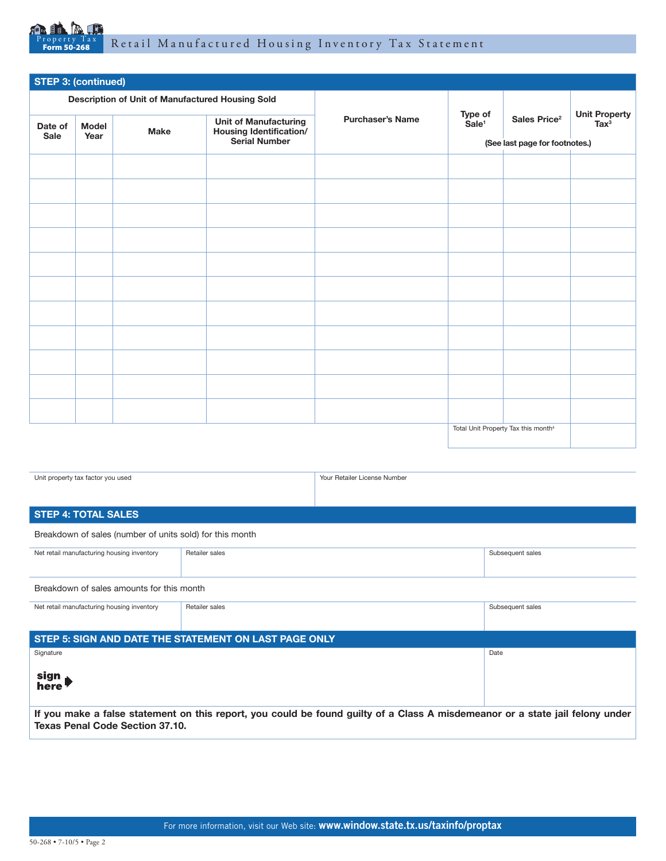

| <b>STEP 3: (continued)</b>                       |              |             |                                                                |                         |                                |                                                 |                                        |
|--------------------------------------------------|--------------|-------------|----------------------------------------------------------------|-------------------------|--------------------------------|-------------------------------------------------|----------------------------------------|
| Description of Unit of Manufactured Housing Sold |              |             |                                                                |                         |                                |                                                 |                                        |
| Date of                                          | <b>Model</b> | <b>Make</b> | <b>Unit of Manufacturing</b><br><b>Housing Identification/</b> | <b>Purchaser's Name</b> | Type of<br>Sale <sup>1</sup>   | Sales Price <sup>2</sup>                        | <b>Unit Property</b><br>$\text{Tax}^3$ |
| Sale                                             | Year         |             | <b>Serial Number</b>                                           |                         | (See last page for footnotes.) |                                                 |                                        |
|                                                  |              |             |                                                                |                         |                                |                                                 |                                        |
|                                                  |              |             |                                                                |                         |                                |                                                 |                                        |
|                                                  |              |             |                                                                |                         |                                |                                                 |                                        |
|                                                  |              |             |                                                                |                         |                                |                                                 |                                        |
|                                                  |              |             |                                                                |                         |                                |                                                 |                                        |
|                                                  |              |             |                                                                |                         |                                |                                                 |                                        |
|                                                  |              |             |                                                                |                         |                                |                                                 |                                        |
|                                                  |              |             |                                                                |                         |                                |                                                 |                                        |
|                                                  |              |             |                                                                |                         |                                |                                                 |                                        |
|                                                  |              |             |                                                                |                         |                                |                                                 |                                        |
|                                                  |              |             |                                                                |                         |                                |                                                 |                                        |
|                                                  |              |             |                                                                |                         |                                | Total Unit Property Tax this month <sup>4</sup> |                                        |

Unit property tax factor you used **Your Retailer License Number** Your Retailer License Number

## **STEP 4: TOTAL SALES**

Breakdown of sales (number of units sold) for this month

| Net retail manufacturing housing inventory | Retailer sales | Subsequent sales |
|--------------------------------------------|----------------|------------------|
|                                            |                |                  |

Breakdown of sales amounts for this month

| Net retail manufacturing housing inventory                                                                                                                              | Retailer sales | Subsequent sales |  |  |
|-------------------------------------------------------------------------------------------------------------------------------------------------------------------------|----------------|------------------|--|--|
| STEP 5: SIGN AND DATE THE STATEMENT ON LAST PAGE ONLY                                                                                                                   |                |                  |  |  |
| Signature                                                                                                                                                               |                | Date             |  |  |
| sign<br>here                                                                                                                                                            |                |                  |  |  |
| If you make a false statement on this report, you could be found guilty of a Class A misdemeanor or a state jail felony under<br><b>Texas Penal Code Section 37.10.</b> |                |                  |  |  |